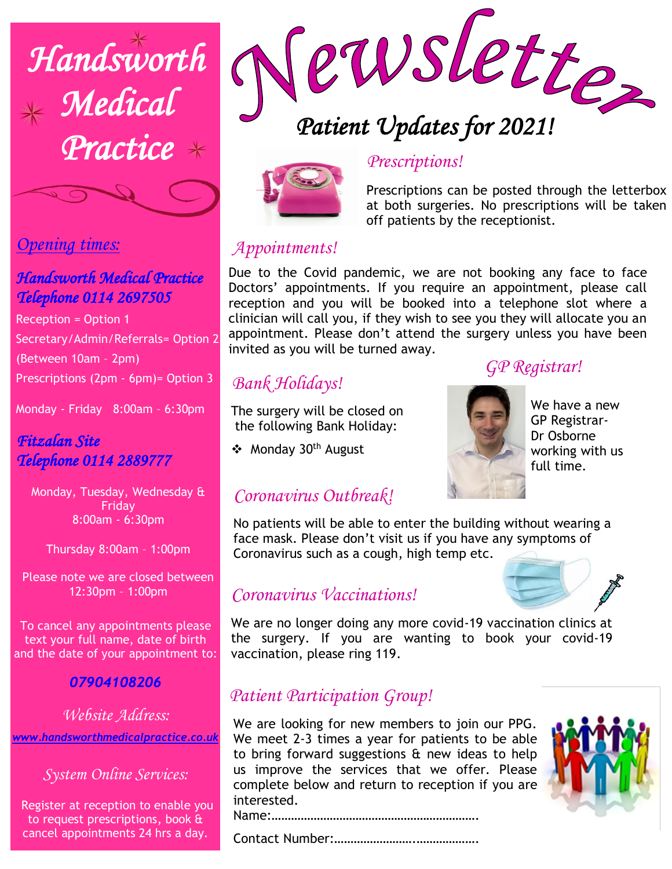

## *Opening times:*

# *Telephone 0114 2697505 Handsworth Medical Practice*

Reception = Option 1 Secretary/Admin/Referrals= Option 2 (Between 10am – 2pm) Prescriptions (2pm - 6pm)= Option 3

Monday - Friday 8:00am – 6:30pm

#### *Fitzalan Site Telephone 0114 2889777*

Monday, Tuesday, Wednesday & Friday 8:00am - 6:30pm

Thursday 8:00am – 1:00pm

Please note we are closed between 12:30pm – 1:00pm

To cancel any appointments please text your full name, date of birth and the date of your appointment to:

#### *07904108206*

*Website Address: [www.handsworthmedicalpractice.co.uk](http://www.handsworthmedicalpractice.co.uk/)*

*System Online Services:*

Register at reception to enable you to request prescriptions, book & cancel appointments 24 hrs a day.



# *Patient Updates for 2021!*



#### *Prescriptions!*

Prescriptions can be posted through the letterbox at both surgeries. No prescriptions will be taken off patients by the receptionist.

### *Appointments!*

Due to the Covid pandemic, we are not booking any face to face Doctors' appointments. If you require an appointment, please call reception and you will be booked into a telephone slot where a clinician will call you, if they wish to see you they will allocate you an appointment. Please don't attend the surgery unless you have been invited as you will be turned away.

# *Bank Holidays!*

The surgery will be closed on the following Bank Holiday:

❖ Monday 30th August

# *GP Registrar!*



We have a new GP Registrar-Dr Osborne working with us full time.

## *Coronavirus Outbreak!*

No patients will be able to enter the building without wearing a face mask. Please don't visit us if you have any symptoms of Coronavirus such as a cough, high temp etc.

## *Coronavirus Vaccinations!*

We are no longer doing any more covid-19 vaccination clinics at the surgery. If you are wanting to book your covid-19 vaccination, please ring 119.

## *Patient Participation Group!*

We are looking for new members to join our PPG. We meet 2-3 times a year for patients to be able to bring forward suggestions  $\alpha$  new ideas to help us improve the services that we offer. Please complete below and return to reception if you are interested.



Name:……………………………………………………….

Contact Number:…………………….……………….